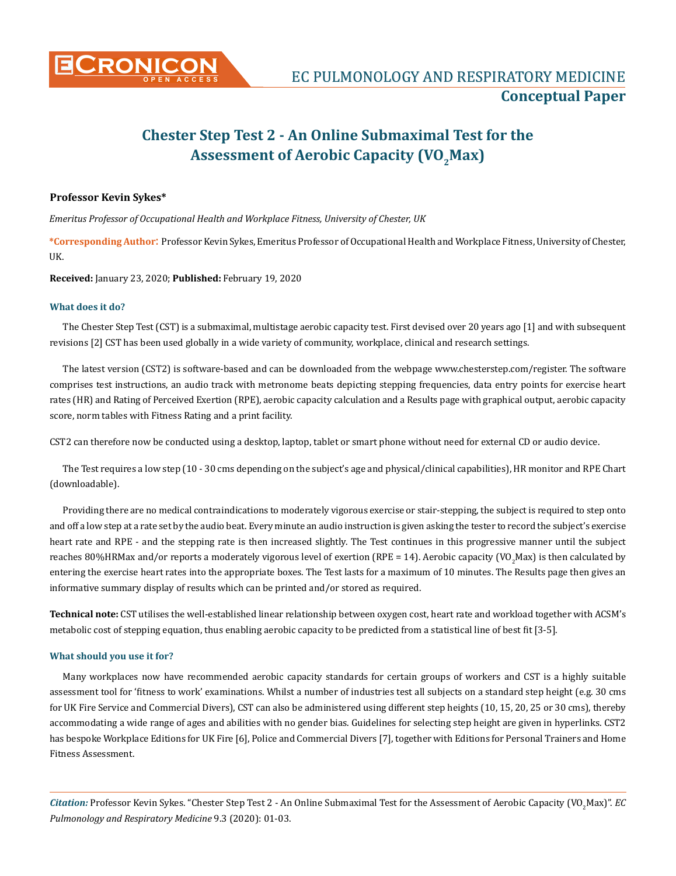

# **Chester Step Test 2 - An Online Submaximal Test for the**  Assessment of Aerobic Capacity (VO<sub>2</sub>Max)

## **Professor Kevin Sykes\***

*Emeritus Professor of Occupational Health and Workplace Fitness, University of Chester, UK*

**\*Corresponding Author**: Professor Kevin Sykes, Emeritus Professor of Occupational Health and Workplace Fitness, University of Chester, UK.

**Received:** January 23, 2020; **Published:** February 19, 2020

#### **What does it do?**

The Chester Step Test (CST) is a submaximal, multistage aerobic capacity test. First devised over 20 years ago [1] and with subsequent revisions [2] CST has been used globally in a wide variety of community, workplace, clinical and research settings.

The latest version (CST2) is software-based and can be downloaded from the webpage [www.chesterstep.com/register.](http://www.chesterstep.com/register) The software comprises test instructions, an audio track with metronome beats depicting stepping frequencies, data entry points for exercise heart rates (HR) and Rating of Perceived Exertion (RPE), aerobic capacity calculation and a Results page with graphical output, aerobic capacity score, norm tables with Fitness Rating and a print facility.

CST2 can therefore now be conducted using a desktop, laptop, tablet or smart phone without need for external CD or audio device.

The Test requires a low step (10 - 30 cms depending on the subject's age and physical/clinical capabilities), HR monitor and RPE Chart (downloadable).

Providing there are no medical contraindications to moderately vigorous exercise or stair-stepping, the subject is required to step onto and off a low step at a rate set by the audio beat. Every minute an audio instruction is given asking the tester to record the subject's exercise heart rate and RPE - and the stepping rate is then increased slightly. The Test continues in this progressive manner until the subject reaches 80%HRMax and/or reports a moderately vigorous level of exertion (RPE = 14). Aerobic capacity (VO<sub>2</sub>Max) is then calculated by entering the exercise heart rates into the appropriate boxes. The Test lasts for a maximum of 10 minutes. The Results page then gives an informative summary display of results which can be printed and/or stored as required.

**Technical note:** CST utilises the well-established linear relationship between oxygen cost, heart rate and workload together with ACSM's metabolic cost of stepping equation, thus enabling aerobic capacity to be predicted from a statistical line of best fit [3-5].

### **What should you use it for?**

Many workplaces now have recommended aerobic capacity standards for certain groups of workers and CST is a highly suitable assessment tool for 'fitness to work' examinations. Whilst a number of industries test all subjects on a standard step height (e.g. 30 cms for UK Fire Service and Commercial Divers), CST can also be administered using different step heights (10, 15, 20, 25 or 30 cms), thereby accommodating a wide range of ages and abilities with no gender bias. Guidelines for selecting step height are given in hyperlinks. CST2 has bespoke Workplace Editions for UK Fire [6], Police and Commercial Divers [7], together with Editions for Personal Trainers and Home Fitness Assessment.

Citation: Professor Kevin Sykes. "Chester Step Test 2 - An Online Submaximal Test for the Assessment of Aerobic Capacity (VO<sub>2</sub>Max)". *EC Pulmonology and Respiratory Medicine* 9.3 (2020): 01-03.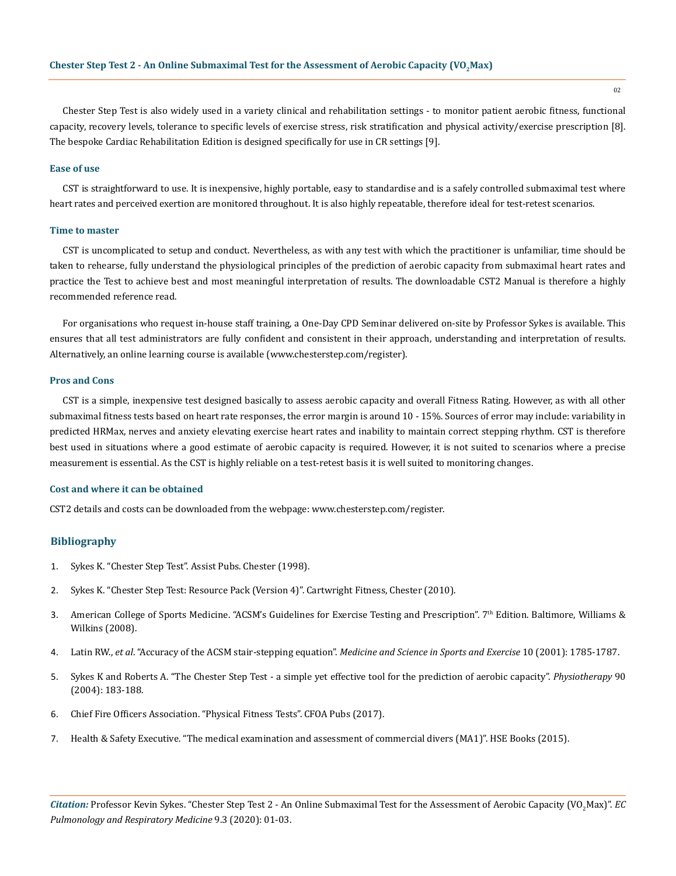Chester Step Test is also widely used in a variety clinical and rehabilitation settings - to monitor patient aerobic fitness, functional capacity, recovery levels, tolerance to specific levels of exercise stress, risk stratification and physical activity/exercise prescription [8]. The bespoke Cardiac Rehabilitation Edition is designed specifically for use in CR settings [9].

#### **Ease of use**

CST is straightforward to use. It is inexpensive, highly portable, easy to standardise and is a safely controlled submaximal test where heart rates and perceived exertion are monitored throughout. It is also highly repeatable, therefore ideal for test-retest scenarios.

### **Time to master**

CST is uncomplicated to setup and conduct. Nevertheless, as with any test with which the practitioner is unfamiliar, time should be taken to rehearse, fully understand the physiological principles of the prediction of aerobic capacity from submaximal heart rates and practice the Test to achieve best and most meaningful interpretation of results. The downloadable CST2 Manual is therefore a highly recommended reference read.

For organisations who request in-house staff training, a One-Day CPD Seminar delivered on-site by Professor Sykes is available. This ensures that all test administrators are fully confident and consistent in their approach, understanding and interpretation of results. Alternatively, an online learning course is available ([www.chesterstep.com/register](http://www.chesterstep.com/register)).

### **Pros and Cons**

CST is a simple, inexpensive test designed basically to assess aerobic capacity and overall Fitness Rating. However, as with all other submaximal fitness tests based on heart rate responses, the error margin is around 10 - 15%. Sources of error may include: variability in predicted HRMax, nerves and anxiety elevating exercise heart rates and inability to maintain correct stepping rhythm. CST is therefore best used in situations where a good estimate of aerobic capacity is required. However, it is not suited to scenarios where a precise measurement is essential. As the CST is highly reliable on a test-retest basis it is well suited to monitoring changes.

#### **Cost and where it can be obtained**

CST2 details and costs can be downloaded from the webpage: [www.chesterstep.com/register](http://www.chesterstep.com/register).

## **Bibliography**

- 1. Sykes K. "Chester Step Test". Assist Pubs. Chester (1998).
- 2. Sykes K. "Chester Step Test: Resource Pack (Version 4)". Cartwright Fitness, Chester (2010).
- 3. American College of Sports Medicine. "ACSM's Guidelines for Exercise Testing and Prescription". 7th Edition. Baltimore, Williams & Wilkins (2008).
- 4. Latin RW., *et al*. "Accuracy of the ACSM stair-stepping equation". *[Medicine and Science in Sports and Exercise](https://www.ncbi.nlm.nih.gov/pubmed/11581567)* 10 (2001): 1785-1787.
- 5. [Sykes K and Roberts A. "The Chester Step Test a simple yet effective tool for the prediction of aerobic capacity".](https://www.sciencedirect.com/science/article/abs/pii/S0031940604000574) *Physiotherapy* 90 [\(2004\): 183-188.](https://www.sciencedirect.com/science/article/abs/pii/S0031940604000574)
- 6. Chief Fire Officers Association. "Physical Fitness Tests". CFOA Pubs (2017).
- 7. [Health & Safety Executive. "The medical examination and assessment of commercial divers \(MA1\)". HSE Books \(2015\).](https://www.hse.gov.uk/pubns/ma1.htm)

Citation: Professor Kevin Sykes. "Chester Step Test 2 - An Online Submaximal Test for the Assessment of Aerobic Capacity (VO<sub>2</sub>Max)". *EC Pulmonology and Respiratory Medicine* 9.3 (2020): 01-03.

02